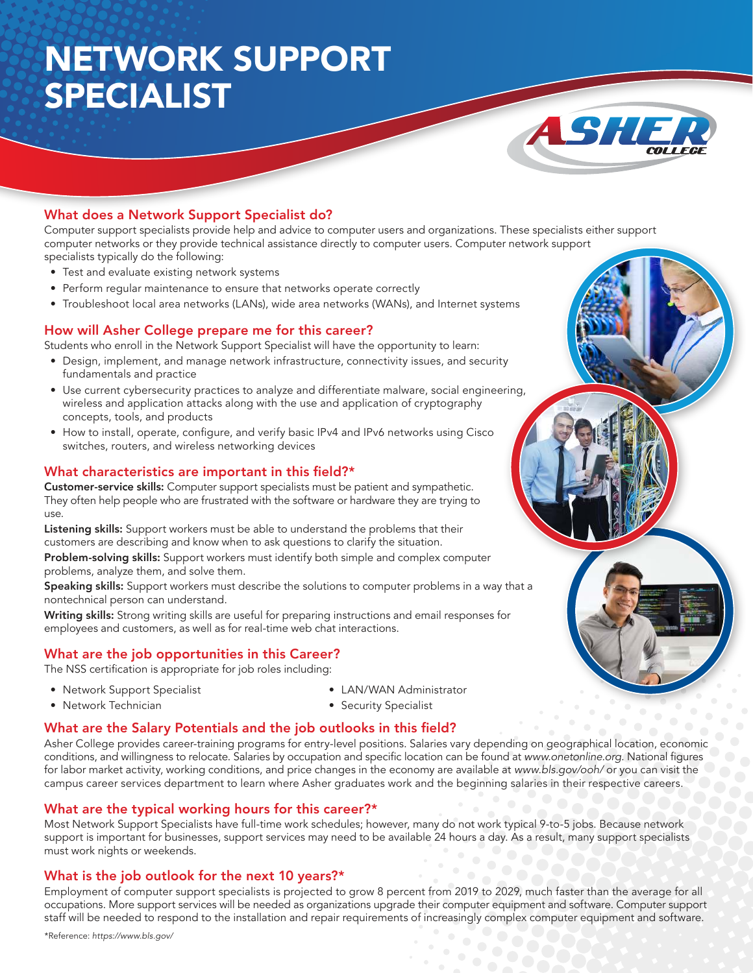# NETWORK SUPPORT SPECIALIST



Computer support specialists provide help and advice to computer users and organizations. These specialists either support computer networks or they provide technical assistance directly to computer users. Computer network support specialists typically do the following:

ASH

- Test and evaluate existing network systems
- Perform regular maintenance to ensure that networks operate correctly
- • Troubleshoot local area networks (LANs), wide area networks (WANs), and Internet systems

## How will Asher College prepare me for this career?

Students who enroll in the Network Support Specialist will have the opportunity to learn:

- • Design, implement, and manage network infrastructure, connectivity issues, and security fundamentals and practice
- • Use current cybersecurity practices to analyze and differentiate malware, social engineering, wireless and application attacks along with the use and application of cryptography concepts, tools, and products
- How to install, operate, configure, and verify basic IPv4 and IPv6 networks using Cisco switches, routers, and wireless networking devices

#### What characteristics are important in this field?\*

Customer-service skills: Computer support specialists must be patient and sympathetic. They often help people who are frustrated with the software or hardware they are trying to use.

Listening skills: Support workers must be able to understand the problems that their customers are describing and know when to ask questions to clarify the situation.

Problem-solving skills: Support workers must identify both simple and complex computer problems, analyze them, and solve them.

Speaking skills: Support workers must describe the solutions to computer problems in a way that a nontechnical person can understand.

Writing skills: Strong writing skills are useful for preparing instructions and email responses for employees and customers, as well as for real-time web chat interactions.

## What are the job opportunities in this Career?

The NSS certification is appropriate for job roles including:

• Network Support Specialist

• Network Technician

- LAN/WAN Administrator
- Security Specialist

#### What are the Salary Potentials and the job outlooks in this field?

Asher College provides career-training programs for entry-level positions. Salaries vary depending on geographical location, economic conditions, and willingness to relocate. Salaries by occupation and specific location can be found at www.onetonline.org. National figures for labor market activity, working conditions, and price changes in the economy are available at www.bls.gov/ooh/ or you can visit the campus career services department to learn where Asher graduates work and the beginning salaries in their respective careers.

#### What are the typical working hours for this career?\*

Most Network Support Specialists have full-time work schedules; however, many do not work typical 9-to-5 jobs. Because network support is important for businesses, support services may need to be available 24 hours a day. As a result, many support specialists must work nights or weekends.

#### What is the job outlook for the next 10 years?\*

Employment of computer support specialists is projected to grow 8 percent from 2019 to 2029, much faster than the average for all occupations. More support services will be needed as organizations upgrade their computer equipment and software. Computer support staff will be needed to respond to the installation and repair requirements of increasingly complex computer equipment and software.